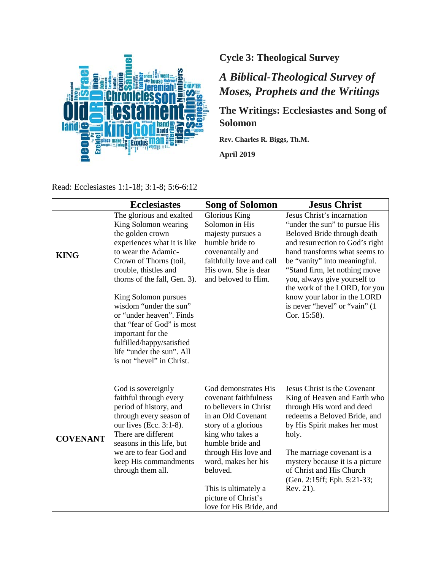

# **Cycle 3: Theological Survey**

# *A Biblical-Theological Survey of Moses, Prophets and the Writings*

## **The Writings: Ecclesiastes and Song of Solomon**

**Rev. Charles R. Biggs, Th.M.**

**April 2019**

| Read: Ecclesiastes 1:1-18; 3:1-8; 5:6-6:12 |
|--------------------------------------------|
|                                            |

|                 | <b>Ecclesiastes</b>                                                                                                                                                                                                                                                                                                                                                                                                                   | <b>Song of Solomon</b>                                                                                                                                                                                                                                                                            | <b>Jesus Christ</b>                                                                                                                                                                                                                                                                                                                                                               |
|-----------------|---------------------------------------------------------------------------------------------------------------------------------------------------------------------------------------------------------------------------------------------------------------------------------------------------------------------------------------------------------------------------------------------------------------------------------------|---------------------------------------------------------------------------------------------------------------------------------------------------------------------------------------------------------------------------------------------------------------------------------------------------|-----------------------------------------------------------------------------------------------------------------------------------------------------------------------------------------------------------------------------------------------------------------------------------------------------------------------------------------------------------------------------------|
| <b>KING</b>     | The glorious and exalted<br>King Solomon wearing<br>the golden crown<br>experiences what it is like<br>to wear the Adamic-<br>Crown of Thorns (toil,<br>trouble, thistles and<br>thorns of the fall, Gen. 3).<br>King Solomon pursues<br>wisdom "under the sun"<br>or "under heaven". Finds<br>that "fear of God" is most<br>important for the<br>fulfilled/happy/satisfied<br>life "under the sun". All<br>is not "hevel" in Christ. | <b>Glorious King</b><br>Solomon in His<br>majesty pursues a<br>humble bride to<br>covenantally and<br>faithfully love and call<br>His own. She is dear<br>and beloved to Him.                                                                                                                     | Jesus Christ's incarnation<br>"under the sun" to pursue His<br>Beloved Bride through death<br>and resurrection to God's right<br>hand transforms what seems to<br>be "vanity" into meaningful.<br>"Stand firm, let nothing move<br>you, always give yourself to<br>the work of the LORD, for you<br>know your labor in the LORD<br>is never "hevel" or "vain" (1)<br>Cor. 15:58). |
| <b>COVENANT</b> | God is sovereignly<br>faithful through every<br>period of history, and<br>through every season of<br>our lives (Ecc. $3:1-8$ ).<br>There are different<br>seasons in this life, but<br>we are to fear God and<br>keep His commandments<br>through them all.                                                                                                                                                                           | God demonstrates His<br>covenant faithfulness<br>to believers in Christ<br>in an Old Covenant<br>story of a glorious<br>king who takes a<br>humble bride and<br>through His love and<br>word, makes her his<br>beloved.<br>This is ultimately a<br>picture of Christ's<br>love for His Bride, and | Jesus Christ is the Covenant<br>King of Heaven and Earth who<br>through His word and deed<br>redeems a Beloved Bride, and<br>by His Spirit makes her most<br>holy.<br>The marriage covenant is a<br>mystery because it is a picture<br>of Christ and His Church<br>(Gen. 2:15ff; Eph. 5:21-33;<br>Rev. 21).                                                                       |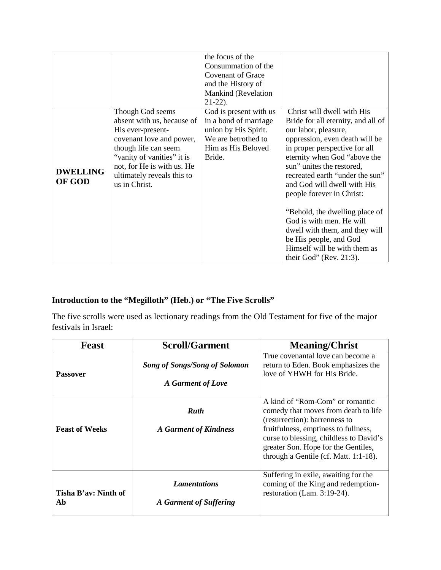|                           |                                                                                                                                                                                                                                    | the focus of the<br>Consummation of the<br><b>Covenant of Grace</b><br>and the History of<br>Mankind (Revelation<br>$21-22$ ). |                                                                                                                                                                                                                                                                                                                                                                                                                                                                                                              |
|---------------------------|------------------------------------------------------------------------------------------------------------------------------------------------------------------------------------------------------------------------------------|--------------------------------------------------------------------------------------------------------------------------------|--------------------------------------------------------------------------------------------------------------------------------------------------------------------------------------------------------------------------------------------------------------------------------------------------------------------------------------------------------------------------------------------------------------------------------------------------------------------------------------------------------------|
| <b>DWELLING</b><br>OF GOD | Though God seems<br>absent with us, because of<br>His ever-present-<br>covenant love and power,<br>though life can seem<br>"vanity of vanities" it is<br>not, for He is with us. He<br>ultimately reveals this to<br>us in Christ. | God is present with us<br>in a bond of marriage<br>union by His Spirit.<br>We are betrothed to<br>Him as His Beloved<br>Bride. | Christ will dwell with His<br>Bride for all eternity, and all of<br>our labor, pleasure,<br>oppression, even death will be<br>in proper perspective for all<br>eternity when God "above the<br>sun" unites the restored,<br>recreated earth "under the sun"<br>and God will dwell with His<br>people forever in Christ:<br>"Behold, the dwelling place of<br>God is with men. He will<br>dwell with them, and they will<br>be His people, and God<br>Himself will be with them as<br>their God" (Rev. 21:3). |

## **Introduction to the "Megilloth" (Heb.) or "The Five Scrolls"**

The five scrolls were used as lectionary readings from the Old Testament for five of the major festivals in Israel:

| <b>Feast</b>               | <b>Scroll/Garment</b>                                     | <b>Meaning/Christ</b>                                                                                                                                                                                                                                                       |
|----------------------------|-----------------------------------------------------------|-----------------------------------------------------------------------------------------------------------------------------------------------------------------------------------------------------------------------------------------------------------------------------|
| <b>Passover</b>            | <b>Song of Songs/Song of Solomon</b><br>A Garment of Love | True covenantal love can become a<br>return to Eden. Book emphasizes the<br>love of YHWH for His Bride.                                                                                                                                                                     |
| <b>Feast of Weeks</b>      | <b>Ruth</b><br><b>A Garment of Kindness</b>               | A kind of "Rom-Com" or romantic<br>comedy that moves from death to life<br>(resurrection): barrenness to<br>fruitfulness, emptiness to fullness,<br>curse to blessing, childless to David's<br>greater Son. Hope for the Gentiles,<br>through a Gentile (cf. Matt. 1:1-18). |
| Tisha B'av: Ninth of<br>Ab | <b>Lamentations</b><br>A Garment of Suffering             | Suffering in exile, awaiting for the<br>coming of the King and redemption-<br>restoration (Lam. 3:19-24).                                                                                                                                                                   |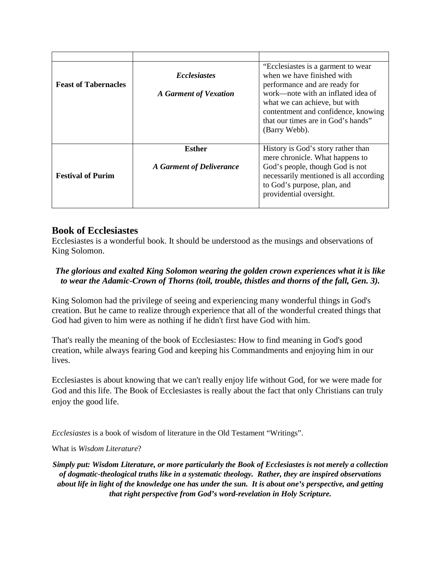| <b>Feast of Tabernacles</b> | <b>Ecclesiastes</b><br><b>A</b> Garment of Vexation | "Ecclesiastes is a garment to wear"<br>when we have finished with<br>performance and are ready for<br>work—note with an inflated idea of<br>what we can achieve, but with<br>contentment and confidence, knowing<br>that our times are in God's hands"<br>(Barry Webb). |
|-----------------------------|-----------------------------------------------------|-------------------------------------------------------------------------------------------------------------------------------------------------------------------------------------------------------------------------------------------------------------------------|
| <b>Festival of Purim</b>    | Esther<br>A Garment of Deliverance                  | History is God's story rather than<br>mere chronicle. What happens to<br>God's people, though God is not<br>necessarily mentioned is all according<br>to God's purpose, plan, and<br>providential oversight.                                                            |

## **Book of Ecclesiastes**

Ecclesiastes is a wonderful book. It should be understood as the musings and observations of King Solomon.

## *The glorious and exalted King Solomon wearing the golden crown experiences what it is like to wear the Adamic-Crown of Thorns (toil, trouble, thistles and thorns of the fall, Gen. 3).*

King Solomon had the privilege of seeing and experiencing many wonderful things in God's creation. But he came to realize through experience that all of the wonderful created things that God had given to him were as nothing if he didn't first have God with him.

That's really the meaning of the book of Ecclesiastes: How to find meaning in God's good creation, while always fearing God and keeping his Commandments and enjoying him in our lives.

Ecclesiastes is about knowing that we can't really enjoy life without God, for we were made for God and this life. The Book of Ecclesiastes is really about the fact that only Christians can truly enjoy the good life.

*Ecclesiastes* is a book of wisdom of literature in the Old Testament "Writings".

What is *Wisdom Literature*?

*Simply put: Wisdom Literature, or more particularly the Book of Ecclesiastes is not merely a collection of dogmatic-theological truths like in a systematic theology. Rather, they are inspired observations about life in light of the knowledge one has under the sun. It is about one's perspective, and getting that right perspective from God's word-revelation in Holy Scripture.*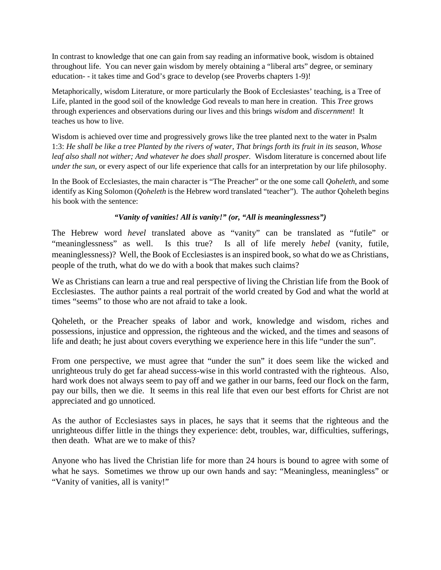In contrast to knowledge that one can gain from say reading an informative book, wisdom is obtained throughout life. You can never gain wisdom by merely obtaining a "liberal arts" degree, or seminary education- - it takes time and God's grace to develop (see Proverbs chapters 1-9)!

Metaphorically, wisdom Literature, or more particularly the Book of Ecclesiastes' teaching, is a Tree of Life, planted in the good soil of the knowledge God reveals to man here in creation. This *Tree* grows through experiences and observations during our lives and this brings *wisdom* and *discernment*! It teaches us how to live.

Wisdom is achieved over time and progressively grows like the tree planted next to the water in Psalm 1:3: *He shall be like a tree Planted by the rivers of water, That brings forth its fruit in its season, Whose leaf also shall not wither; And whatever he does shall prosper.* Wisdom literature is concerned about life *under the sun*, or every aspect of our life experience that calls for an interpretation by our life philosophy.

In the Book of Ecclesiastes, the main character is "The Preacher" or the one some call *Qoheleth*, and some identify as King Solomon (*Qoheleth* is the Hebrew word translated "teacher"). The author Qoheleth begins his book with the sentence:

#### *"Vanity of vanities! All is vanity!" (or, "All is meaninglessness")*

The Hebrew word *hevel* translated above as "vanity" can be translated as "futile" or "meaninglessness" as well. Is this true? Is all of life merely *hebel* (vanity, futile, meaninglessness)? Well, the Book of Ecclesiastes is an inspired book, so what do we as Christians, people of the truth, what do we do with a book that makes such claims?

We as Christians can learn a true and real perspective of living the Christian life from the Book of Ecclesiastes. The author paints a real portrait of the world created by God and what the world at times "seems" to those who are not afraid to take a look.

Qoheleth, or the Preacher speaks of labor and work, knowledge and wisdom, riches and possessions, injustice and oppression, the righteous and the wicked, and the times and seasons of life and death; he just about covers everything we experience here in this life "under the sun".

From one perspective, we must agree that "under the sun" it does seem like the wicked and unrighteous truly do get far ahead success-wise in this world contrasted with the righteous. Also, hard work does not always seem to pay off and we gather in our barns, feed our flock on the farm, pay our bills, then we die. It seems in this real life that even our best efforts for Christ are not appreciated and go unnoticed.

As the author of Ecclesiastes says in places, he says that it seems that the righteous and the unrighteous differ little in the things they experience: debt, troubles, war, difficulties, sufferings, then death. What are we to make of this?

Anyone who has lived the Christian life for more than 24 hours is bound to agree with some of what he says. Sometimes we throw up our own hands and say: "Meaningless, meaningless" or "Vanity of vanities, all is vanity!"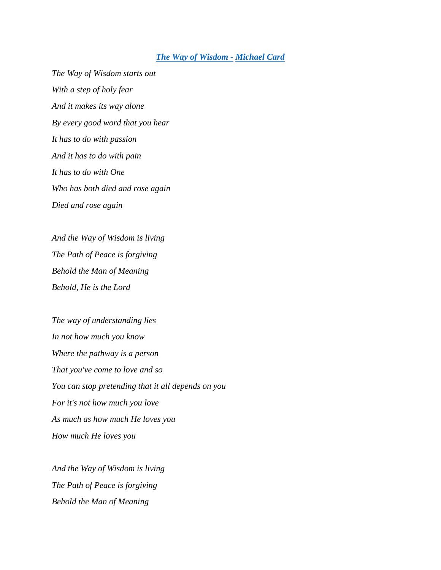#### *[The Way of Wisdom](https://www.youtube.com/watch?v=a1YYMSP5clM) - [Michael Card](https://www.youtube.com/watch?v=a1YYMSP5clM)*

*The Way of Wisdom starts out With a step of holy fear And it makes its way alone By every good word that you hear It has to do with passion And it has to do with pain It has to do with One Who has both died and rose again Died and rose again*

*And the Way of Wisdom is living The Path of Peace is forgiving Behold the Man of Meaning Behold, He is the Lord*

*The way of understanding lies In not how much you know Where the pathway is a person That you've come to love and so You can stop pretending that it all depends on you For it's not how much you love As much as how much He loves you How much He loves you*

*And the Way of Wisdom is living The Path of Peace is forgiving Behold the Man of Meaning*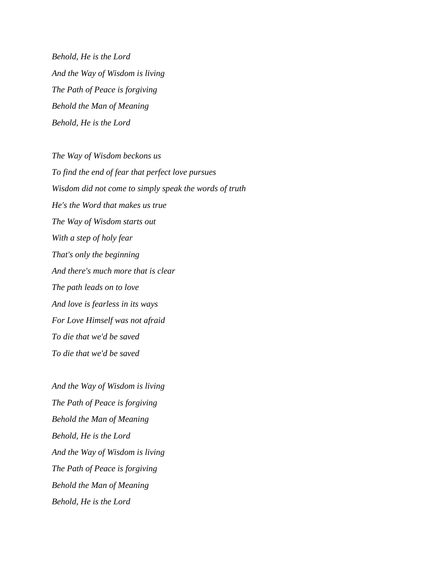*Behold, He is the Lord And the Way of Wisdom is living The Path of Peace is forgiving Behold the Man of Meaning Behold, He is the Lord*

*The Way of Wisdom beckons us To find the end of fear that perfect love pursues Wisdom did not come to simply speak the words of truth He's the Word that makes us true The Way of Wisdom starts out With a step of holy fear That's only the beginning And there's much more that is clear The path leads on to love And love is fearless in its ways For Love Himself was not afraid To die that we'd be saved To die that we'd be saved*

*And the Way of Wisdom is living The Path of Peace is forgiving Behold the Man of Meaning Behold, He is the Lord And the Way of Wisdom is living The Path of Peace is forgiving Behold the Man of Meaning Behold, He is the Lord*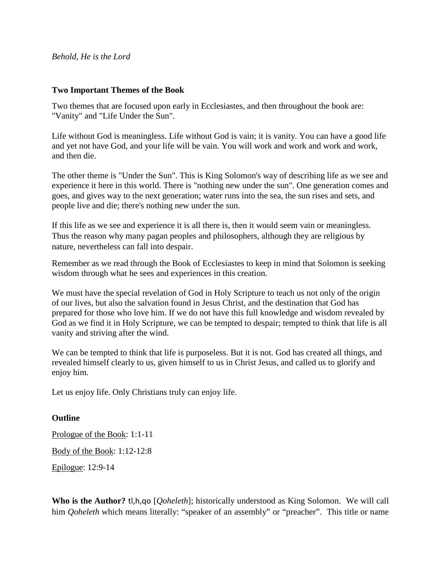#### *Behold, He is the Lord*

#### **Two Important Themes of the Book**

Two themes that are focused upon early in Ecclesiastes, and then throughout the book are: "Vanity" and "Life Under the Sun".

Life without God is meaningless. Life without God is vain; it is vanity. You can have a good life and yet not have God, and your life will be vain. You will work and work and work and work, and then die.

The other theme is "Under the Sun". This is King Solomon's way of describing life as we see and experience it here in this world. There is "nothing new under the sun". One generation comes and goes, and gives way to the next generation; water runs into the sea, the sun rises and sets, and people live and die; there's nothing new under the sun.

If this life as we see and experience it is all there is, then it would seem vain or meaningless. Thus the reason why many pagan peoples and philosophers, although they are religious by nature, nevertheless can fall into despair.

Remember as we read through the Book of Ecclesiastes to keep in mind that Solomon is seeking wisdom through what he sees and experiences in this creation.

We must have the special revelation of God in Holy Scripture to teach us not only of the origin of our lives, but also the salvation found in Jesus Christ, and the destination that God has prepared for those who love him. If we do not have this full knowledge and wisdom revealed by God as we find it in Holy Scripture, we can be tempted to despair; tempted to think that life is all vanity and striving after the wind.

We can be tempted to think that life is purposeless. But it is not. God has created all things, and revealed himself clearly to us, given himself to us in Christ Jesus, and called us to glorify and enjoy him.

Let us enjoy life. Only Christians truly can enjoy life.

#### **Outline**

Prologue of the Book: 1:1-11

Body of the Book: 1:12-12:8

Epilogue: 12:9-14

**Who is the Author?** tl,h,qo [*Qoheleth*]; historically understood as King Solomon. We will call him *Ooheleth* which means literally: "speaker of an assembly" or "preacher". This title or name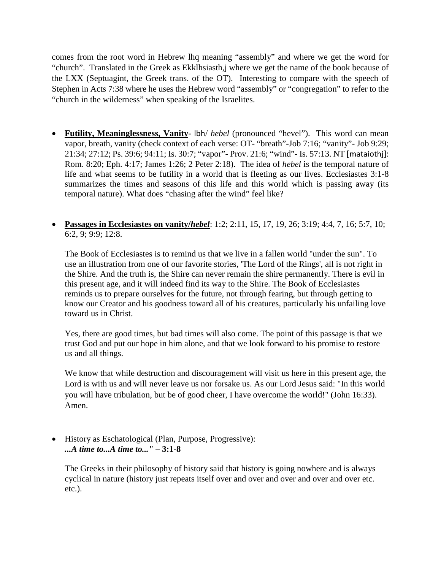comes from the root word in Hebrew lhq meaning "assembly" and where we get the word for "church". Translated in the Greek as Ekklhsiasth,j where we get the name of the book because of the LXX (Septuagint, the Greek trans. of the OT). Interesting to compare with the speech of Stephen in Acts 7:38 where he uses the Hebrew word "assembly" or "congregation" to refer to the "church in the wilderness" when speaking of the Israelites.

- **Futility, Meaninglessness, Vanity** lbh/ *hebel* (pronounced "hevel"). This word can mean vapor, breath, vanity (check context of each verse: OT- "breath"-Job 7:16; "vanity"- Job 9:29; 21:34; 27:12; Ps. 39:6; 94:11; Is. 30:7; "vapor"- Prov. 21:6; "wind"- Is. 57:13. NT [mataiothj]: Rom. 8:20; Eph. 4:17; James 1:26; 2 Peter 2:18). The idea of *hebel* is the temporal nature of life and what seems to be futility in a world that is fleeting as our lives. Ecclesiastes 3:1-8 summarizes the times and seasons of this life and this world which is passing away (its temporal nature). What does "chasing after the wind" feel like?
- **Passages in Ecclesiastes on vanity/***hebel*: 1:2; 2:11, 15, 17, 19, 26; 3:19; 4:4, 7, 16; 5:7, 10; 6:2, 9; 9:9; 12:8.

The Book of Ecclesiastes is to remind us that we live in a fallen world "under the sun". To use an illustration from one of our favorite stories, 'The Lord of the Rings', all is not right in the Shire. And the truth is, the Shire can never remain the shire permanently. There is evil in this present age, and it will indeed find its way to the Shire. The Book of Ecclesiastes reminds us to prepare ourselves for the future, not through fearing, but through getting to know our Creator and his goodness toward all of his creatures, particularly his unfailing love toward us in Christ.

Yes, there are good times, but bad times will also come. The point of this passage is that we trust God and put our hope in him alone, and that we look forward to his promise to restore us and all things.

We know that while destruction and discouragement will visit us here in this present age, the Lord is with us and will never leave us nor forsake us. As our Lord Jesus said: "In this world you will have tribulation, but be of good cheer, I have overcome the world!" (John 16:33). Amen.

• History as Eschatological (Plan, Purpose, Progressive): *...A time to...A time to..."* **– 3:1-8**

The Greeks in their philosophy of history said that history is going nowhere and is always cyclical in nature (history just repeats itself over and over and over and over and over etc. etc.).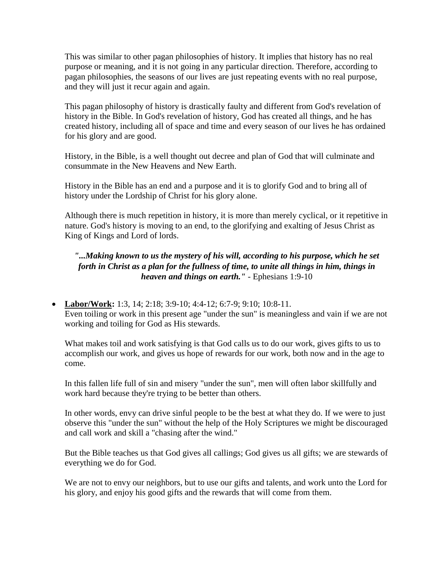This was similar to other pagan philosophies of history. It implies that history has no real purpose or meaning, and it is not going in any particular direction. Therefore, according to pagan philosophies, the seasons of our lives are just repeating events with no real purpose, and they will just it recur again and again.

This pagan philosophy of history is drastically faulty and different from God's revelation of history in the Bible. In God's revelation of history, God has created all things, and he has created history, including all of space and time and every season of our lives he has ordained for his glory and are good.

History, in the Bible, is a well thought out decree and plan of God that will culminate and consummate in the New Heavens and New Earth.

History in the Bible has an end and a purpose and it is to glorify God and to bring all of history under the Lordship of Christ for his glory alone.

Although there is much repetition in history, it is more than merely cyclical, or it repetitive in nature. God's history is moving to an end, to the glorifying and exalting of Jesus Christ as King of Kings and Lord of lords.

## *"...Making known to us the mystery of his will, according to his purpose, which he set forth in Christ as a plan for the fullness of time, to unite all things in him, things in heaven and things on earth."* - Ephesians 1:9-10

• **Labor/Work:** 1:3, 14; 2:18; 3:9-10; 4:4-12; 6:7-9; 9:10; 10:8-11. Even toiling or work in this present age "under the sun" is meaningless and vain if we are not working and toiling for God as His stewards.

What makes toil and work satisfying is that God calls us to do our work, gives gifts to us to accomplish our work, and gives us hope of rewards for our work, both now and in the age to come.

In this fallen life full of sin and misery "under the sun", men will often labor skillfully and work hard because they're trying to be better than others.

In other words, envy can drive sinful people to be the best at what they do. If we were to just observe this "under the sun" without the help of the Holy Scriptures we might be discouraged and call work and skill a "chasing after the wind."

But the Bible teaches us that God gives all callings; God gives us all gifts; we are stewards of everything we do for God.

We are not to envy our neighbors, but to use our gifts and talents, and work unto the Lord for his glory, and enjoy his good gifts and the rewards that will come from them.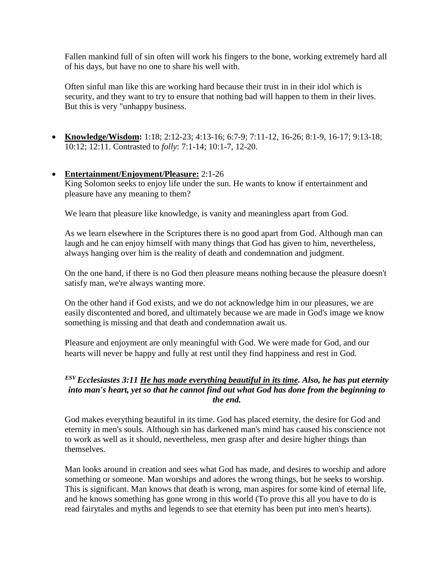Fallen mankind full of sin often will work his fingers to the bone, working extremely hard all of his days, but have no one to share his well with.

Often sinful man like this are working hard because their trust in in their idol which is security, and they want to try to ensure that nothing bad will happen to them in their lives. But this is very "unhappy business.

• **Knowledge/Wisdom:** 1:18; 2:12-23; 4:13-16; 6:7-9; 7:11-12, 16-26; 8:1-9, 16-17; 9:13-18; 10:12; 12:11. Contrasted to *folly*: 7:1-14; 10:1-7, 12-20.

## • **Entertainment/Enjoyment/Pleasure:** 2:1-26

King Solomon seeks to enjoy life under the sun. He wants to know if entertainment and pleasure have any meaning to them?

We learn that pleasure like knowledge, is vanity and meaningless apart from God.

As we learn elsewhere in the Scriptures there is no good apart from God. Although man can laugh and he can enjoy himself with many things that God has given to him, nevertheless, always hanging over him is the reality of death and condemnation and judgment.

On the one hand, if there is no God then pleasure means nothing because the pleasure doesn't satisfy man, we're always wanting more.

On the other hand if God exists, and we do not acknowledge him in our pleasures, we are easily discontented and bored, and ultimately because we are made in God's image we know something is missing and that death and condemnation await us.

Pleasure and enjoyment are only meaningful with God. We were made for God, and our hearts will never be happy and fully at rest until they find happiness and rest in God.

#### *ESV Ecclesiastes 3:11 He has made everything beautiful in its time. Also, he has put eternity into man's heart, yet so that he cannot find out what God has done from the beginning to the end.*

God makes everything beautiful in its time. God has placed eternity, the desire for God and eternity in men's souls. Although sin has darkened man's mind has caused his conscience not to work as well as it should, nevertheless, men grasp after and desire higher things than themselves.

Man looks around in creation and sees what God has made, and desires to worship and adore something or someone. Man worships and adores the wrong things, but he seeks to worship. This is significant. Man knows that death is wrong, man aspires for some kind of eternal life, and he knows something has gone wrong in this world (To prove this all you have to do is read fairytales and myths and legends to see that eternity has been put into men's hearts).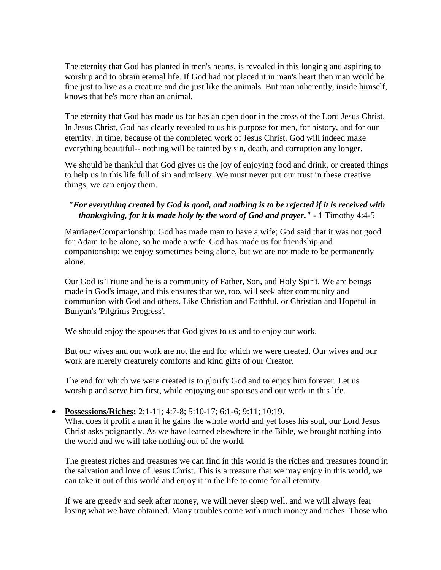The eternity that God has planted in men's hearts, is revealed in this longing and aspiring to worship and to obtain eternal life. If God had not placed it in man's heart then man would be fine just to live as a creature and die just like the animals. But man inherently, inside himself, knows that he's more than an animal.

The eternity that God has made us for has an open door in the cross of the Lord Jesus Christ. In Jesus Christ, God has clearly revealed to us his purpose for men, for history, and for our eternity. In time, because of the completed work of Jesus Christ, God will indeed make everything beautiful-- nothing will be tainted by sin, death, and corruption any longer.

We should be thankful that God gives us the joy of enjoying food and drink, or created things to help us in this life full of sin and misery. We must never put our trust in these creative things, we can enjoy them.

## *"For everything created by God is good, and nothing is to be rejected if it is received with thanksgiving, for it is made holy by the word of God and prayer."* - 1 Timothy 4:4-5

Marriage/Companionship: God has made man to have a wife; God said that it was not good for Adam to be alone, so he made a wife. God has made us for friendship and companionship; we enjoy sometimes being alone, but we are not made to be permanently alone.

Our God is Triune and he is a community of Father, Son, and Holy Spirit. We are beings made in God's image, and this ensures that we, too, will seek after community and communion with God and others. Like Christian and Faithful, or Christian and Hopeful in Bunyan's 'Pilgrims Progress'.

We should enjoy the spouses that God gives to us and to enjoy our work.

But our wives and our work are not the end for which we were created. Our wives and our work are merely creaturely comforts and kind gifts of our Creator.

The end for which we were created is to glorify God and to enjoy him forever. Let us worship and serve him first, while enjoying our spouses and our work in this life.

• **Possessions/Riches:** 2:1-11; 4:7-8; 5:10-17; 6:1-6; 9:11; 10:19.

What does it profit a man if he gains the whole world and yet loses his soul, our Lord Jesus Christ asks poignantly. As we have learned elsewhere in the Bible, we brought nothing into the world and we will take nothing out of the world.

The greatest riches and treasures we can find in this world is the riches and treasures found in the salvation and love of Jesus Christ. This is a treasure that we may enjoy in this world, we can take it out of this world and enjoy it in the life to come for all eternity.

If we are greedy and seek after money, we will never sleep well, and we will always fear losing what we have obtained. Many troubles come with much money and riches. Those who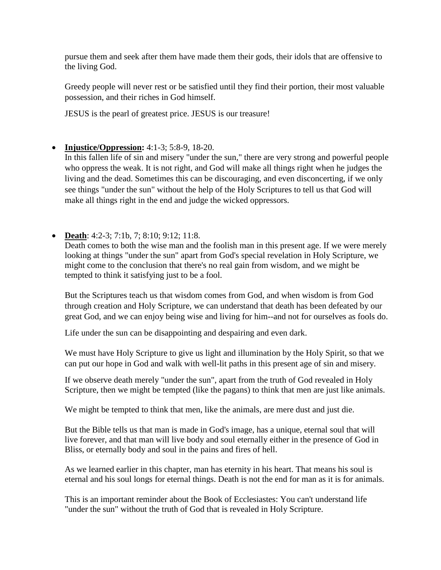pursue them and seek after them have made them their gods, their idols that are offensive to the living God.

Greedy people will never rest or be satisfied until they find their portion, their most valuable possession, and their riches in God himself.

JESUS is the pearl of greatest price. JESUS is our treasure!

• **Injustice/Oppression:** 4:1-3; 5:8-9, 18-20.

In this fallen life of sin and misery "under the sun," there are very strong and powerful people who oppress the weak. It is not right, and God will make all things right when he judges the living and the dead. Sometimes this can be discouraging, and even disconcerting, if we only see things "under the sun" without the help of the Holy Scriptures to tell us that God will make all things right in the end and judge the wicked oppressors.

• **Death**: 4:2-3; 7:1b, 7; 8:10; 9:12; 11:8.

Death comes to both the wise man and the foolish man in this present age. If we were merely looking at things "under the sun" apart from God's special revelation in Holy Scripture, we might come to the conclusion that there's no real gain from wisdom, and we might be tempted to think it satisfying just to be a fool.

But the Scriptures teach us that wisdom comes from God, and when wisdom is from God through creation and Holy Scripture, we can understand that death has been defeated by our great God, and we can enjoy being wise and living for him--and not for ourselves as fools do.

Life under the sun can be disappointing and despairing and even dark.

We must have Holy Scripture to give us light and illumination by the Holy Spirit, so that we can put our hope in God and walk with well-lit paths in this present age of sin and misery.

If we observe death merely "under the sun", apart from the truth of God revealed in Holy Scripture, then we might be tempted (like the pagans) to think that men are just like animals.

We might be tempted to think that men, like the animals, are mere dust and just die.

But the Bible tells us that man is made in God's image, has a unique, eternal soul that will live forever, and that man will live body and soul eternally either in the presence of God in Bliss, or eternally body and soul in the pains and fires of hell.

As we learned earlier in this chapter, man has eternity in his heart. That means his soul is eternal and his soul longs for eternal things. Death is not the end for man as it is for animals.

This is an important reminder about the Book of Ecclesiastes: You can't understand life "under the sun" without the truth of God that is revealed in Holy Scripture.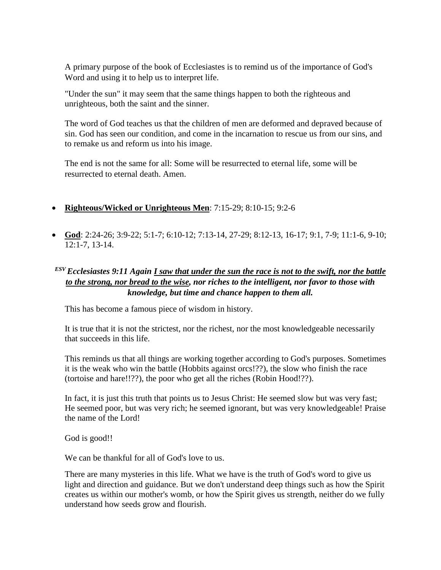A primary purpose of the book of Ecclesiastes is to remind us of the importance of God's Word and using it to help us to interpret life.

"Under the sun" it may seem that the same things happen to both the righteous and unrighteous, both the saint and the sinner.

The word of God teaches us that the children of men are deformed and depraved because of sin. God has seen our condition, and come in the incarnation to rescue us from our sins, and to remake us and reform us into his image.

The end is not the same for all: Some will be resurrected to eternal life, some will be resurrected to eternal death. Amen.

- **Righteous/Wicked or Unrighteous Men**: 7:15-29; 8:10-15; 9:2-6
- **God**: 2:24-26; 3:9-22; 5:1-7; 6:10-12; 7:13-14, 27-29; 8:12-13, 16-17; 9:1, 7-9; 11:1-6, 9-10; 12:1-7, 13-14.

## *ESV Ecclesiastes 9:11 Again I saw that under the sun the race is not to the swift, nor the battle to the strong, nor bread to the wise, nor riches to the intelligent, nor favor to those with knowledge, but time and chance happen to them all.*

This has become a famous piece of wisdom in history.

It is true that it is not the strictest, nor the richest, nor the most knowledgeable necessarily that succeeds in this life.

This reminds us that all things are working together according to God's purposes. Sometimes it is the weak who win the battle (Hobbits against orcs!??), the slow who finish the race (tortoise and hare!!??), the poor who get all the riches (Robin Hood!??).

In fact, it is just this truth that points us to Jesus Christ: He seemed slow but was very fast; He seemed poor, but was very rich; he seemed ignorant, but was very knowledgeable! Praise the name of the Lord!

God is good!!

We can be thankful for all of God's love to us.

There are many mysteries in this life. What we have is the truth of God's word to give us light and direction and guidance. But we don't understand deep things such as how the Spirit creates us within our mother's womb, or how the Spirit gives us strength, neither do we fully understand how seeds grow and flourish.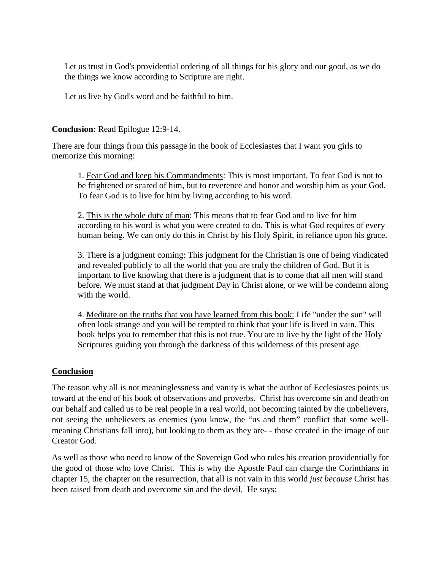Let us trust in God's providential ordering of all things for his glory and our good, as we do the things we know according to Scripture are right.

Let us live by God's word and be faithful to him.

**Conclusion:** Read Epilogue 12:9-14.

There are four things from this passage in the book of Ecclesiastes that I want you girls to memorize this morning:

1. Fear God and keep his Commandments: This is most important. To fear God is not to be frightened or scared of him, but to reverence and honor and worship him as your God. To fear God is to live for him by living according to his word.

2. This is the whole duty of man: This means that to fear God and to live for him according to his word is what you were created to do. This is what God requires of every human being. We can only do this in Christ by his Holy Spirit, in reliance upon his grace.

3. There is a judgment coming: This judgment for the Christian is one of being vindicated and revealed publicly to all the world that you are truly the children of God. But it is important to live knowing that there is a judgment that is to come that all men will stand before. We must stand at that judgment Day in Christ alone, or we will be condemn along with the world.

4. Meditate on the truths that you have learned from this book: Life "under the sun" will often look strange and you will be tempted to think that your life is lived in vain. This book helps you to remember that this is not true. You are to live by the light of the Holy Scriptures guiding you through the darkness of this wilderness of this present age.

## **Conclusion**

The reason why all is not meaninglessness and vanity is what the author of Ecclesiastes points us toward at the end of his book of observations and proverbs. Christ has overcome sin and death on our behalf and called us to be real people in a real world, not becoming tainted by the unbelievers, not seeing the unbelievers as enemies (you know, the "us and them" conflict that some wellmeaning Christians fall into), but looking to them as they are- - those created in the image of our Creator God.

As well as those who need to know of the Sovereign God who rules his creation providentially for the good of those who love Christ. This is why the Apostle Paul can charge the Corinthians in chapter 15, the chapter on the resurrection, that all is not vain in this world *just because* Christ has been raised from death and overcome sin and the devil. He says: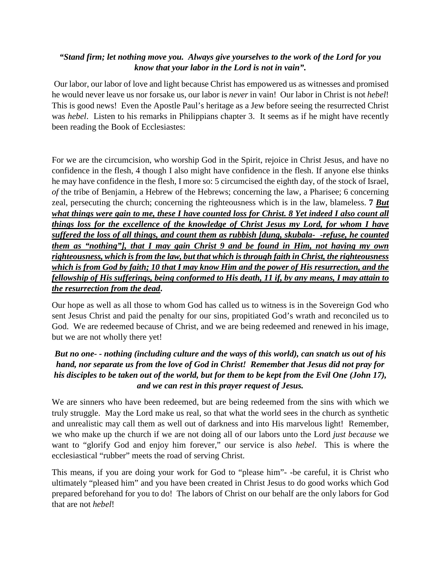## *"Stand firm; let nothing move you. Always give yourselves to the work of the Lord for you know that your labor in the Lord is not in vain".*

Our labor, our labor of love and light because Christ has empowered us as witnesses and promised he would never leave us nor forsake us, our labor is *never* in vain! Our labor in Christ is not *hebel*! This is good news! Even the Apostle Paul's heritage as a Jew before seeing the resurrected Christ was *hebel*. Listen to his remarks in Philippians chapter 3. It seems as if he might have recently been reading the Book of Ecclesiastes:

For we are the circumcision, who worship God in the Spirit, rejoice in Christ Jesus, and have no confidence in the flesh, 4 though I also might have confidence in the flesh. If anyone else thinks he may have confidence in the flesh, I more so: 5 circumcised the eighth day, of the stock of Israel, *of* the tribe of Benjamin, a Hebrew of the Hebrews; concerning the law, a Pharisee; 6 concerning zeal, persecuting the church; concerning the righteousness which is in the law, blameless. **7** *But what things were gain to me, these I have counted loss for Christ. 8 Yet indeed I also count all things loss for the excellence of the knowledge of Christ Jesus my Lord, for whom I have suffered the loss of all things, and count them as rubbish [dung, skubala- -refuse, he counted them as "nothing"], that I may gain Christ 9 and be found in Him, not having my own righteousness, which is from the law, but that which is through faith in Christ, the righteousness which is from God by faith; 10 that I may know Him and the power of His resurrection, and the fellowship of His sufferings, being conformed to His death, 11 if, by any means, I may attain to the resurrection from the dead***.**

Our hope as well as all those to whom God has called us to witness is in the Sovereign God who sent Jesus Christ and paid the penalty for our sins, propitiated God's wrath and reconciled us to God. We are redeemed because of Christ, and we are being redeemed and renewed in his image, but we are not wholly there yet!

## *But no one- - nothing (including culture and the ways of this world), can snatch us out of his hand, nor separate us from the love of God in Christ! Remember that Jesus did not pray for his disciples to be taken out of the world, but for them to be kept from the Evil One (John 17), and we can rest in this prayer request of Jesus.*

We are sinners who have been redeemed, but are being redeemed from the sins with which we truly struggle. May the Lord make us real, so that what the world sees in the church as synthetic and unrealistic may call them as well out of darkness and into His marvelous light! Remember, we who make up the church if we are not doing all of our labors unto the Lord *just because* we want to "glorify God and enjoy him forever," our service is also *hebel*. This is where the ecclesiastical "rubber" meets the road of serving Christ.

This means, if you are doing your work for God to "please him"- -be careful, it is Christ who ultimately "pleased him" and you have been created in Christ Jesus to do good works which God prepared beforehand for you to do! The labors of Christ on our behalf are the only labors for God that are not *hebel*!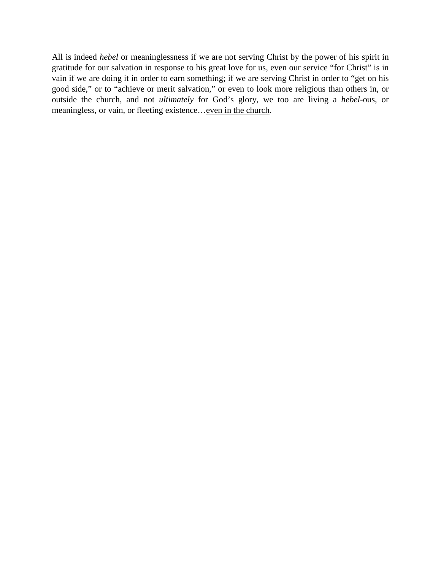All is indeed *hebel* or meaninglessness if we are not serving Christ by the power of his spirit in gratitude for our salvation in response to his great love for us, even our service "for Christ" is in vain if we are doing it in order to earn something; if we are serving Christ in order to "get on his good side," or to "achieve or merit salvation," or even to look more religious than others in, or outside the church, and not *ultimately* for God's glory, we too are living a *hebel*-ous, or meaningless, or vain, or fleeting existence... even in the church.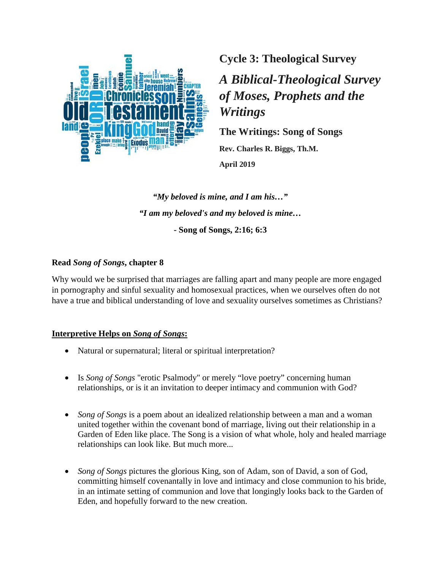

**Cycle 3: Theological Survey**

*A Biblical-Theological Survey of Moses, Prophets and the Writings*

**The Writings: Song of Songs**

**Rev. Charles R. Biggs, Th.M. April 2019**

*"My beloved is mine, and I am his…" "I am my beloved's and my beloved is mine…* **- Song of Songs, 2:16; 6:3**

## **Read** *Song of Songs***, chapter 8**

Why would we be surprised that marriages are falling apart and many people are more engaged in pornography and sinful sexuality and homosexual practices, when we ourselves often do not have a true and biblical understanding of love and sexuality ourselves sometimes as Christians?

## **Interpretive Helps on** *Song of Songs***:**

- Natural or supernatural; literal or spiritual interpretation?
- Is *Song of Songs* "erotic Psalmody" or merely "love poetry" concerning human relationships, or is it an invitation to deeper intimacy and communion with God?
- *Song of Songs* is a poem about an idealized relationship between a man and a woman united together within the covenant bond of marriage, living out their relationship in a Garden of Eden like place. The Song is a vision of what whole, holy and healed marriage relationships can look like. But much more...
- *Song of Songs* pictures the glorious King, son of Adam, son of David, a son of God, committing himself covenantally in love and intimacy and close communion to his bride, in an intimate setting of communion and love that longingly looks back to the Garden of Eden, and hopefully forward to the new creation.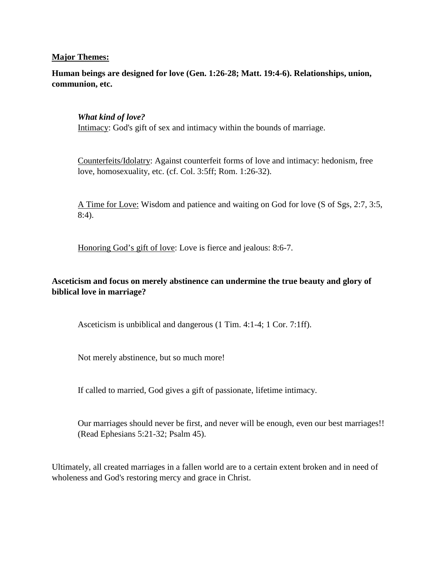#### **Major Themes:**

**Human beings are designed for love (Gen. 1:26-28; Matt. 19:4-6). Relationships, union, communion, etc.**

#### *What kind of love?*

Intimacy: God's gift of sex and intimacy within the bounds of marriage.

Counterfeits/Idolatry: Against counterfeit forms of love and intimacy: hedonism, free love, homosexuality, etc. (cf. Col. 3:5ff; Rom. 1:26-32).

A Time for Love: Wisdom and patience and waiting on God for love (S of Sgs, 2:7, 3:5, 8:4).

Honoring God's gift of love: Love is fierce and jealous: 8:6-7.

## **Asceticism and focus on merely abstinence can undermine the true beauty and glory of biblical love in marriage?**

Asceticism is unbiblical and dangerous (1 Tim. 4:1-4; 1 Cor. 7:1ff).

Not merely abstinence, but so much more!

If called to married, God gives a gift of passionate, lifetime intimacy.

Our marriages should never be first, and never will be enough, even our best marriages!! (Read Ephesians 5:21-32; Psalm 45).

Ultimately, all created marriages in a fallen world are to a certain extent broken and in need of wholeness and God's restoring mercy and grace in Christ.